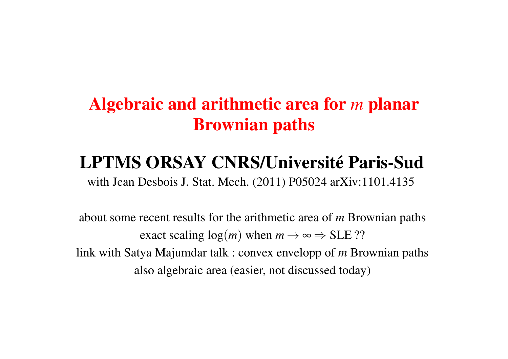# Algebraic and arithmetic area for *m* planar Brownian paths

# LPTMS ORSAY CNRS/Universite Paris-Sud ´

with Jean Desbois J. Stat. Mech. (2011) P05024 arXiv:1101.4135

about some recent results for the arithmetic area of *m* Brownian paths exact scaling  $log(m)$  when  $m \rightarrow \infty \Rightarrow$  SLE ?? link with Satya Majumdar talk : convex envelopp of *m* Brownian paths also algebraic area (easier, not discussed today)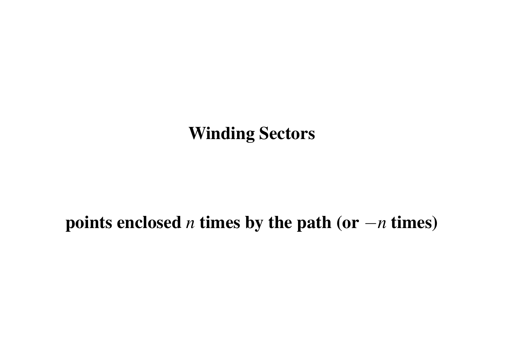## Winding Sectors

## points enclosed *n* times by the path (or *−n* times)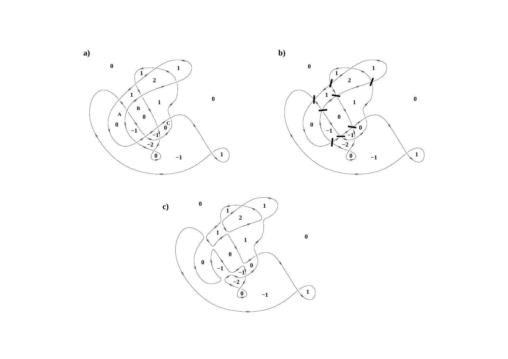

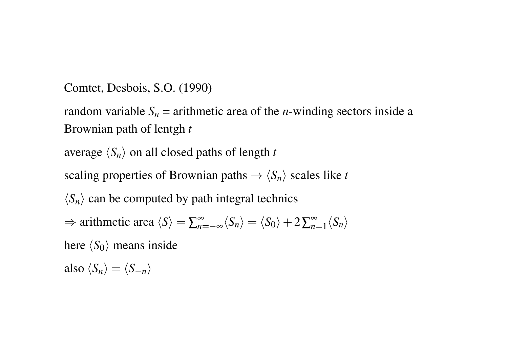Comtet, Desbois, S.O. (1990)

random variable  $S_n$  = arithmetic area of the *n*-winding sectors inside a Brownian path of lentgh *t*

average  $\langle S_n \rangle$  on all closed paths of length *t* 

scaling properties of Brownian paths  $\rightarrow \langle S_n \rangle$  scales like *t* 

 $\langle S_n \rangle$  can be computed by path integral technics

 $\Rightarrow$  arithmetic area  $\langle S \rangle = \sum_{n=-\infty}^{\infty} \langle S_n \rangle = \langle S_0 \rangle + 2 \sum_{n=-\infty}^{\infty} \langle S_n \rangle$  $\sum_{n=1}^{\infty} \langle S_n \rangle$ 

here  $\langle S_0 \rangle$  means inside

also  $\langle S_n \rangle = \langle S_{-n} \rangle$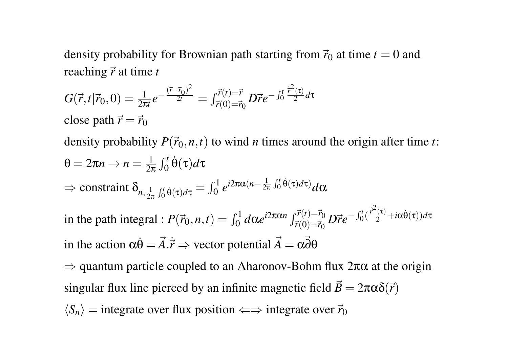density probability for Brownian path starting from  $\vec{r}_0$  at time  $t = 0$  and reaching*⃗r* at time *t*

$$
G(\vec{r},t|\vec{r}_0,0) = \frac{1}{2\pi t}e^{-\frac{(\vec{r}-\vec{r}_0)^2}{2t}} = \int_{\vec{r}(0)=\vec{r}_0}^{\vec{r}(t)=\vec{r}} DFe^{-\int_0^t \frac{\vec{r}^2(\tau)}{2} d\tau}
$$
  
\nclose path  $\vec{r} = \vec{r}_0$   
\ndensity probability  $P(\vec{r}_0,n,t)$  to wind *n* times around the origin after time *t*:  
\n $\theta = 2\pi n \rightarrow n = \frac{1}{2\pi} \int_0^t \dot{\theta}(\tau) d\tau$   
\n $\Rightarrow$  constraint  $\delta_{n,\frac{1}{2\pi} \int_0^t \dot{\theta}(\tau) d\tau} = \int_0^1 e^{i2\pi\alpha(n-\frac{1}{2\pi} \int_0^t \dot{\theta}(\tau) d\tau)} d\alpha$   
\nin the path integral :  $P(\vec{r}_0,n,t) = \int_0^1 d\alpha e^{i2\pi\alpha n} \int_{\vec{r}(0)=\vec{r}_0}^{\vec{r}(t)=\vec{r}_0} DFe^{-\int_0^t (\frac{\dot{\vec{r}}^2(\tau)}{2} + i\alpha\dot{\theta}(\tau))d\tau}$   
\nin the action  $\alpha\dot{\theta} = \vec{A}.\dot{\vec{r}} \Rightarrow$  vector potential  $\vec{A} = \alpha\vec{\partial}\theta$   
\n $\Rightarrow$  quantum particle coupled to an Aharonov-Rohm flux  $2\pi\alpha$  at the origin

*⇒* quantum particle coupled to an Aharonov-Bohm flux 2πα at the origin singular flux line pierced by an infinite magnetic field  $\vec{B} = 2\pi\alpha\delta(\vec{r})$  $\langle S_n \rangle$  = integrate over flux position  $\Longleftrightarrow$  integrate over  $\vec{r}_0$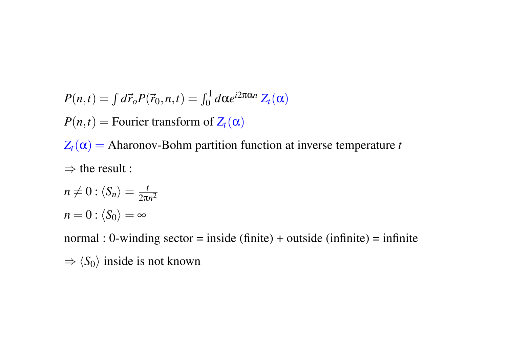*P*(*n*,*t*) = *∫*  $d\vec{r}$ <sub>*o</sub>P*( $\vec{r}$ <sub>0</sub>,*n*,*t*) = *∫*<sub>0</sub><sup>1</sup></sub>  $d\alpha e^{i2\pi\alpha n} Z_t(\alpha)$  $P(n,t) =$  Fourier transform of  $Z_t(\alpha)$  $Z_t(\alpha) =$  Aharonov-Bohm partition function at inverse temperature *t ⇒* the result :

$$
n \neq 0: \langle S_n \rangle = \frac{t}{2\pi n^2}
$$

$$
n = 0: \langle S_0 \rangle = \infty
$$

normal : 0-winding sector = inside (finite) + outside (infinite) = infinite

*⇒ ⟨S*<sup>0</sup> *⟩* inside is not known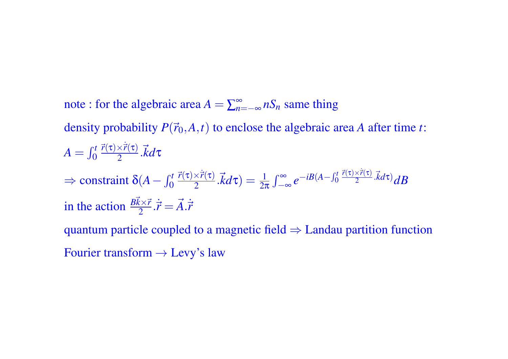note : for the algebraic area  $A = \sum_{n=-\infty}^{\infty} nS_n$  same thing density probability  $P(\vec{r}_0, A, t)$  to enclose the algebraic area *A* after time *t*:  $A = \int_0^t$ 0  $\frac{\vec{r}(\tau) \times \dot{\vec{r}}(\tau)}{2}$  $\frac{\times \vec{r}(\tau)}{2}$ . $\vec{k}d\tau$  $\Rightarrow$  constraint  $\delta(A - \int_0^t$ 0  $\frac{\vec{r}(\tau) \times \dot{\vec{r}}(\tau)}{2}$  $\frac{\partial \times \vec{r}(\tau)}{\partial x}$ . $\vec{k}d\tau$ )  $=\frac{1}{2\pi}$ ∫ ∞ *−*∞  $e^{-iB(A-f_0^t)}$  $\frac{\vec{r}(\tau) \times \dot{\vec{r}}(\tau)}{2}$  $\frac{\partial \times \vec{r}(\tau)}{\partial x} \cdot \vec{k} d\tau$ )  $dB$ in the action  $\frac{B\vec{k}\times\vec{r}}{2}$ *.*  $\vec{r} = \vec{A}$ *.*  $\vec{r}$ quantum particle coupled to a magnetic field *⇒* Landau partition function Fourier transform *→* Levy's law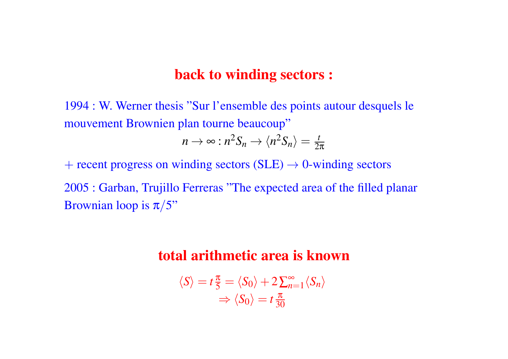#### back to winding sectors :

1994 : W. Werner thesis "Sur l'ensemble des points autour desquels le mouvement Brownien plan tourne beaucoup"

$$
n \to \infty : n^2 S_n \to \langle n^2 S_n \rangle = \frac{t}{2\pi}
$$

+ recent progress on winding sectors (SLE) *→* 0-winding sectors 2005 : Garban, Trujillo Ferreras "The expected area of the filled planar Brownian loop is  $\pi/5$ "

### total arithmetic area is known

$$
\langle S \rangle = t \frac{\pi}{5} = \langle S_0 \rangle + 2 \sum_{n=1}^{\infty} \langle S_n \rangle
$$

$$
\Rightarrow \langle S_0 \rangle = t \frac{\pi}{30}
$$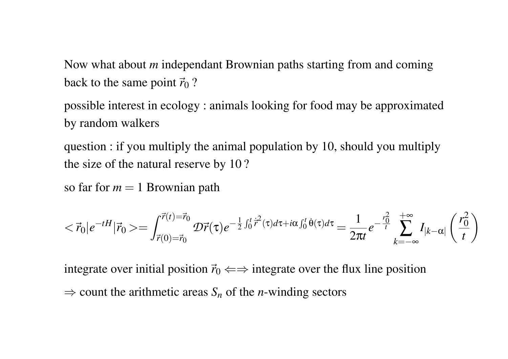Now what about *m* independant Brownian paths starting from and coming back to the same point  $\vec{r}_0$  ?

possible interest in ecology : animals looking for food may be approximated by random walkers

question : if you multiply the animal population by 10, should you multiply the size of the natural reserve by 10 ?

so far for  $m = 1$  Brownian path

$$
<\vec{r}_0|e^{-tH}|\vec{r}_0>=\int_{\vec{r}(0)=\vec{r}_0}^{\vec{r}(t)=\vec{r}_0}\mathcal{D}\vec{r}(\tau)e^{-\frac{1}{2}\int_0^t\dot{\vec{r}}^2(\tau)d\tau+i\alpha\int_0^t\dot{\theta}(\tau)d\tau}=\frac{1}{2\pi t}e^{-\frac{r_0^2}{t}}\sum_{k=-\infty}^{+\infty}I_{|k-\alpha|}\left(\frac{r_0^2}{t}\right)
$$

integrate over initial position  $\vec{r}_0 \iff$  integrate over the flux line position ⇒ count the arithmetic areas  $S_n$  of the *n*-winding sectors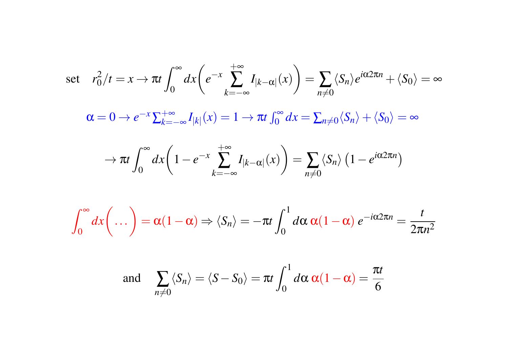$$
\text{set} \quad r_0^2/t = x \to \pi t \int_0^\infty dx \bigg( e^{-x} \sum_{k=-\infty}^{+\infty} I_{|k-\alpha|}(x) \bigg) = \sum_{n \neq 0} \langle S_n \rangle e^{i\alpha 2\pi n} + \langle S_0 \rangle = \infty
$$
\n
$$
\alpha = 0 \to e^{-x} \sum_{k=-\infty}^{+\infty} I_{|k|}(x) = 1 \to \pi t \int_0^\infty dx = \sum_{n \neq 0} \langle S_n \rangle + \langle S_0 \rangle = \infty
$$

$$
\to \pi t \int_0^\infty dx \bigg(1 - e^{-x} \sum_{k=-\infty}^{+\infty} I_{|k-\alpha|}(x)\bigg) = \sum_{n \neq 0} \langle S_n \rangle \left(1 - e^{i\alpha 2\pi n}\right)
$$

$$
\int_0^\infty dx \bigg( \dots \bigg) = \alpha (1 - \alpha) \Rightarrow \langle S_n \rangle = -\pi t \int_0^1 d\alpha \, \alpha (1 - \alpha) \, e^{-i\alpha 2\pi n} = \frac{t}{2\pi n^2}
$$

and 
$$
\sum_{n\neq 0} \langle S_n \rangle = \langle S - S_0 \rangle = \pi t \int_0^1 d\alpha \, \alpha (1 - \alpha) = \frac{\pi t}{6}
$$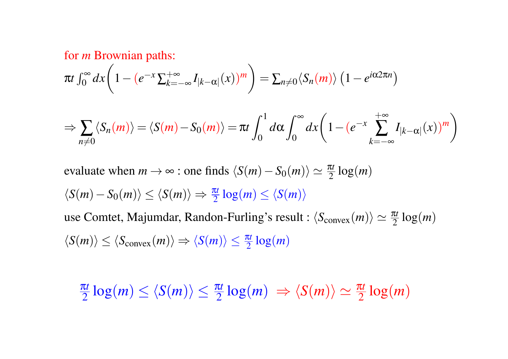#### for *m* Brownian paths:  $\pi t \int_0^\infty$  $\int_{0}^{\infty} dx \bigg( 1 - (e^{-x} \sum_{k=1}^{+\infty}$ *k*=*−*∞ *I|k−*α*<sup>|</sup>* (*x*)) *m*  $\sum_{i=1}^{n}$  $= \sum_{n\neq 0} \langle S_n(m) \rangle (1 - e^{i\alpha 2\pi n})$

$$
\Rightarrow \sum_{n\neq 0} \langle S_n(m)\rangle = \langle S(m)-S_0(m)\rangle = \pi t \int_0^1 d\alpha \int_0^\infty dx \left(1-(e^{-x}\sum_{k=-\infty}^{+\infty} I_{|k-\alpha|}(x))^m\right)
$$

evaluate when  $m \to \infty$  : one finds  $\langle S(m) - S_0(m) \rangle \simeq \frac{\pi t}{2} \log(m)$  $\langle S(m) - S_0(m) \rangle \le \langle S(m) \rangle \Rightarrow \frac{\pi t}{2} \log(m) \le \langle S(m) \rangle$ use Comtet, Majumdar, Randon-Furling's result :  $\langle S_{\text{convex}}(m) \rangle \simeq \frac{\pi t}{2} \log(m)$  $\langle S(m) \rangle \leq \langle S_{\text{convex}}(m) \rangle \Rightarrow \langle S(m) \rangle \leq \frac{\pi t}{2} \log(m)$ 

π*t*  $\frac{\pi t}{2} \log(m) \leq \langle S(m) \rangle \leq \frac{\pi t}{2} \log(m) \Rightarrow \langle S(m) \rangle \simeq \frac{\pi t}{2} \log(m)$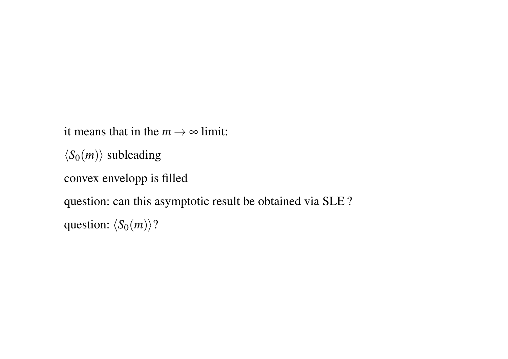it means that in the  $m \rightarrow \infty$  limit:  $\langle S_0(m) \rangle$  subleading convex envelopp is filled question: can this asymptotic result be obtained via SLE ? question:  $\langle S_0(m) \rangle$ ?